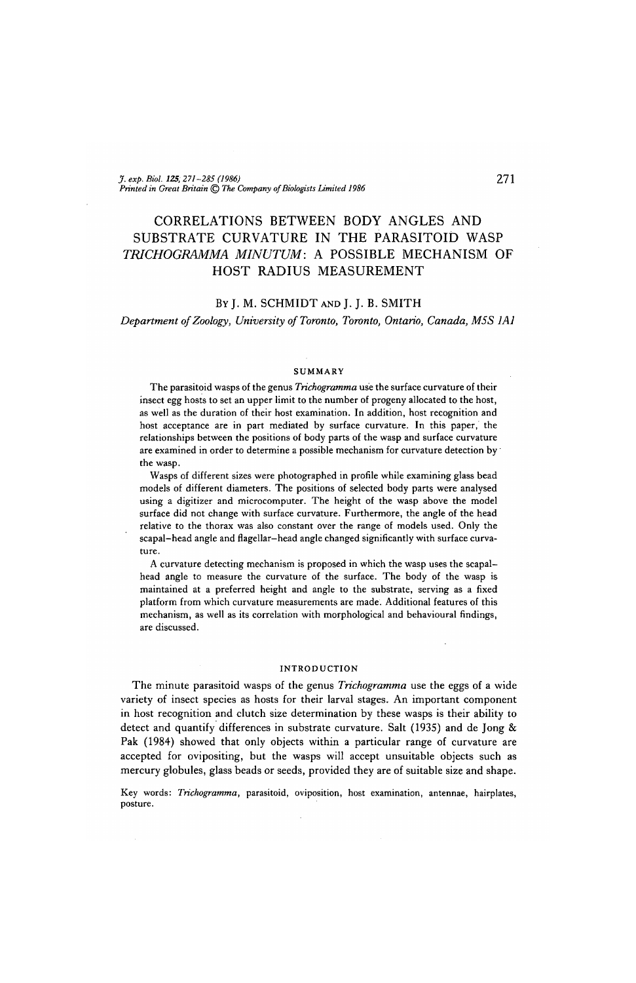# CORRELATIONS BETWEEN BODY ANGLES AND SUBSTRATE CURVATURE IN THE PARASITOID WASP *TRICHOGRAMMA MINUTUM:* A POSSIBLE MECHANISM OF HOST RADIUS MEASUREMENT

## BY J. M. SCHMIDT AND J. J. B. SMITH

*Department of Zoology, University of Toronto, Toronto, Ontario, Canada, M5S 1A1*

#### SUMMARY

The parasitoid wasps of the genus *Trichogramma* use the surface curvature of their insect egg hosts to set an upper limit to the number of progeny allocated to the host, as well as the duration of their host examination. In addition, host recognition and host acceptance are in part mediated by surface curvature. In this paper, the relationships between the positions of body parts of the wasp and surface curvature are examined in order to determine a possible mechanism for curvature detection by' the wasp.

Wasps of different sizes were photographed in profile while examining glass bead models of different diameters. The positions of selected body parts were analysed using a digitizer and microcomputer. The height of the wasp above the model surface did not change with surface curvature. Furthermore, the angle of the head relative to the thorax was also constant over the range of models used. Only the scapal-head angle and flagellar-head angle changed significantly with surface curvature.

A curvature detecting mechanism is proposed in which the wasp uses the scapalhead angle to measure the curvature of the surface. The body of the wasp is maintained at a preferred height and angle to the substrate, serving as a fixed platform from which curvature measurements are made. Additional features of this mechanism, as well as its correlation with morphological and behavioural findings, are discussed.

#### INTRODUCTION

The minute parasitoid wasps of the genus *Trichogramma* use the eggs of a wide variety of insect species as hosts for their larval stages. An important component in host recognition and clutch size determination by these wasps is their ability to detect and quantify differences in substrate curvature. Salt (1935) and de Jong & Pak (1984) showed that only objects within a particular range of curvature are accepted for ovipositing, but the wasps will accept unsuitable objects such as mercury globules, glass beads or seeds, provided they are of suitable size and shape.

Key words: *Trichogramma,* parasitoid, oviposition, host examination, antennae, hairplates, posture.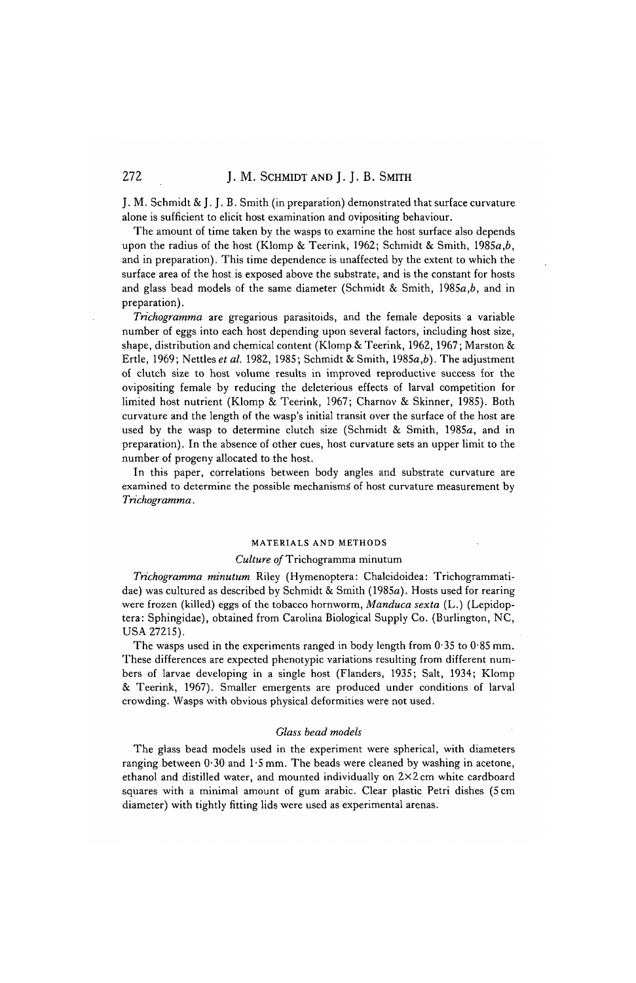## 272 J. M. SCHMIDT AND J. J. B. SMITH

J. M. Schmidt & J. J. B. Smith (in preparation) demonstrated that surface curvature alone is sufficient to elicit host examination and ovipositing behaviour.

The amount of time taken by the wasps to examine the host surface also depends upon the radius of the host (Klomp & Teerink, 1962; Schmidt & Smith, 1985 $a,b$ , and in preparation). This time dependence is unaffected by the extent to which the surface area of the host is exposed above the substrate, and is the constant for hosts and glass bead models of the same diameter (Schmidt & Smith, 1985a,*b,* and in preparation).

*Trichogramma* are gregarious parasitoids, and the female deposits a variable number of eggs into each host depending upon several factors, including host size, shape, distribution and chemical content (Klomp & Teerink, 1962, 1967; Marston & Ertle, 1969; Nettles *et al.* 1982, 1985; Schmidt & Smith, 1985a,6). The adjustment of clutch size to host volume results in improved reproductive success for the ovipositing female by reducing the deleterious effects of larval competition for limited host nutrient (Klomp & Teerink, 1967; Charnov & Skinner, 1985). Both curvature and the length of the wasp's initial transit over the surface of the host are used by the wasp to determine clutch size (Schmidt & Smith, 1985a, and in preparation). In the absence of other cues, host curvature sets an upper limit to the number of progeny allocated to the host.

In this paper, correlations between body angles and substrate curvature are examined to determine the possible mechanisms' of host curvature measurement by *Trichogramma.*

#### MATERIALS AND METHODS

#### *Culture of* Trichogramma minutum

*Trichogramma minutum* Riley (Hymenoptera: Chalcidoidea: Trichogrammatidae) was cultured as described by Schmidt & Smith (1985a). Hosts used for rearing were frozen (killed) eggs of the tobacco hornworm, *Manduca sexta* (L.) (Lepidoptera: Sphingidae), obtained from Carolina Biological Supply Co. (Burlington, NC, USA 27215).

The wasps used in the experiments ranged in body length from  $0.35$  to  $0.85$  mm. These differences are expected phenotypic variations resulting from different numbers of larvae developing in a single host (Flanders, 1935; Salt, 1934; Klomp & Teerink, 1967). Smaller emergents are produced under conditions of larval crowding. Wasps with obvious physical deformities were not used.

#### *Glass bead models*

The glass bead models used in the experiment were spherical, with diameters ranging between  $0.30$  and  $1.5$  mm. The beads were cleaned by washing in acetone, ethanol and distilled water, and mounted individually on 2x2 cm white cardboard squares with a minimal amount of gum arabic. Clear plastic Petri dishes (5 cm diameter) with tightly fitting lids were used as experimental arenas.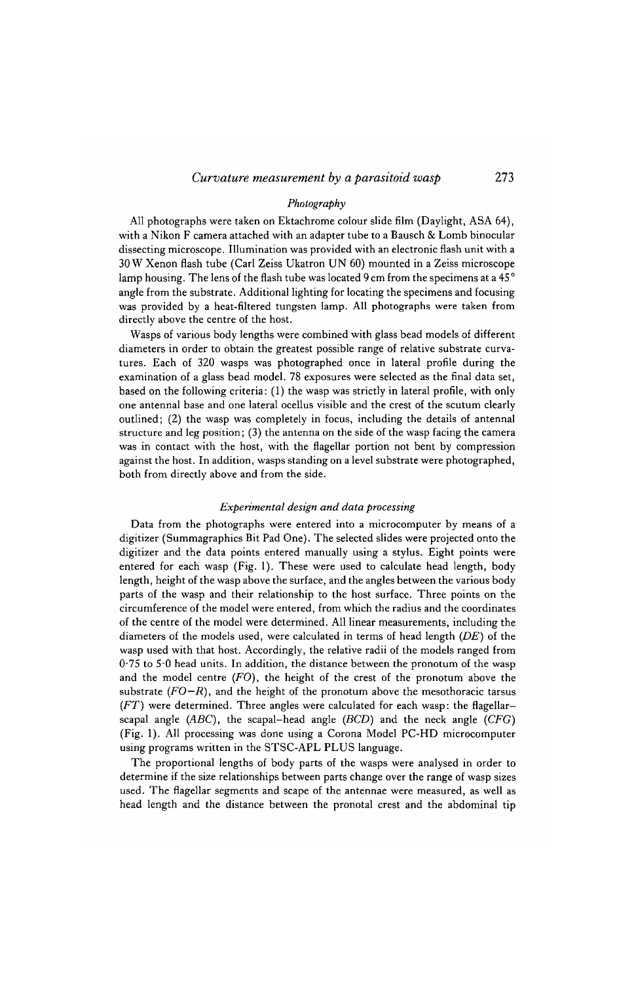#### *Photography*

All photographs were taken on Ektachrome colour slide film (Daylight, ASA 64), with a Nikon F camera attached with an adapter tube to a Bausch & Lomb binocular dissecting microscope. Illumination was provided with an electronic flash unit with a 30 W Xenon flash tube (Carl Zeiss Ukatron UN 60) mounted in a Zeiss microscope lamp housing. The lens of the flash tube was located 9 cm from the specimens at a 45° angle from the substrate. Additional lighting for locating the specimens and focusing was provided by a heat-filtered tungsten lamp. All photographs were taken from directly above the centre of the host.

Wasps of various body lengths were combined with glass bead models of different diameters in order to obtain the greatest possible range of relative substrate curvatures. Each of 320 wasps was photographed once in lateral profile during the examination of a glass bead model. 78 exposures were selected as the final data set, based on the following criteria: (1) the wasp was strictly in lateral profile, with only one antennal base and one lateral ocellus visible and the crest of the scutum clearly outlined; (2) the wasp was completely in focus, including the details of antennal structure and leg position; (3) the antenna on the side of the wasp facing the camera was in contact with the host, with the flagellar portion not bent by compression against the host. In addition, wasps standing on a level substrate were photographed, both from directly above and from the side.

#### *Experimental design and data processing*

Data from the photographs were entered into a microcomputer by means of a digitizer (Summagraphics Bit Pad One). The selected slides were projected onto the digitizer and the data points entered manually using a stylus. Eight points were entered for each wasp (Fig. 1). These were used to calculate head length, body length, height of the wasp above the surface, and the angles between the various body parts of the wasp and their relationship to the host surface. Three points on the circumference of the model were entered, from which the radius and the coordinates of the centre of the model were determined. All linear measurements, including the diameters of the models used, were calculated in terms of head length *(DE)* of the wasp used with that host. Accordingly, the relative radii of the models ranged from 0-75 to 5-0 head units. In addition, the distance between the pronotum of the wasp and the model centre *(FO),* the height of the crest of the pronotum above the substrate  $(FO-R)$ , and the height of the pronotum above the mesothoracic tarsus *(FT)* were determined. Three angles were calculated for each wasp: the flagellarscapal angle *(ABC),* the scapal-head angle *(BCD)* and the neck angle *(CFG)* (Fig. 1). All processing was done using a Corona Model PC-HD microcomputer using programs written in the STSC-APL PLUS language.

The proportional lengths of body parts of the wasps were analysed in order to determine if the size relationships between parts change over the range of wasp sizes used. The flagellar segments and scape of the antennae were measured, as well as head length and the distance between the pronotal crest and the abdominal tip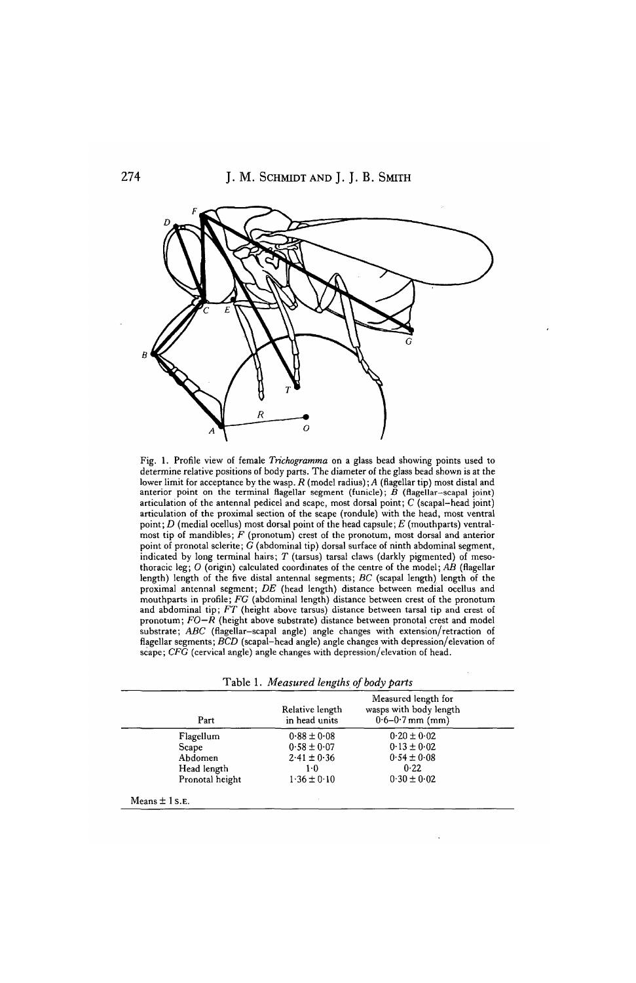

Fig. 1. Profile view of female *Trichogramma* on a glass bead showing points used to determine relative positions of body parts. The diameter of the glass bead shown is at the lower limit for acceptance by the wasp. *R* (model radius); *A* (flagellar tip) most distal and anterior point on the terminal flagellar segment (funicle); *B* (flagellar-scapal joint) articulation of the antennal pedicel and scape, most dorsal point; C (scapal-head joint) articulation of the proximal section of the scape (rondule) with the head, most ventral point; *D* (medial ocellus) most dorsal point of the head capsule; *E* (mouthparts) ventralmost tip of mandibles; *F* (pronotum) crest of the pronotum, most dorsal and anterior point of pronotal sclerite;  $\ddot{G}$  (abdominal tip) dorsal surface of ninth abdominal segment, indicated by long terminal hairs; *T* (tarsus) tarsal claws (darkly pigmented) of mesothoracic leg; *O* (origin) calculated coordinates of the centre of the model; *AB* (flagellar length) length of the five distal antennal segments; *BC* (scapal length) length of the proximal antennal segment; *DE* (head length) distance between medial ocellus and mouthparts in profile; *FG* (abdominal length) distance between crest of the pronotum<br>and abdominal tip; *FT* (height above tarsus) distance between tarsal tip and crest of pronotum; *FO—R* (height above substrate) distance between pronotal crest and model substrate; *ABC* (flagellar-scapal angle) angle changes with extension/retraction of flagellar segments; *BCD* (scapal-head angle) angle changes with depression/elevation of scape; *CFG* (cervical angle) angle changes with depression/elevation of head.

|  |  | Table 1. Measured lengths of body parts |  |  |  |  |  |  |
|--|--|-----------------------------------------|--|--|--|--|--|--|
|--|--|-----------------------------------------|--|--|--|--|--|--|

| Part            | Relative length<br>in head units | Measured length for<br>wasps with body length<br>$0.6 - 0.7$ mm (mm) |  |  |
|-----------------|----------------------------------|----------------------------------------------------------------------|--|--|
| Flagellum       | $0.88 \pm 0.08$                  | $0.20 \pm 0.02$                                                      |  |  |
| Scape           | $0.58 \pm 0.07$                  | $0.13 \pm 0.02$                                                      |  |  |
| Abdomen         | $2.41 \pm 0.36$                  | $0.54 \pm 0.08$                                                      |  |  |
| Head length     | $1-0$                            | 0.22                                                                 |  |  |
| Pronotal height | $1.36 \pm 0.10$                  | $0.30 \pm 0.02$                                                      |  |  |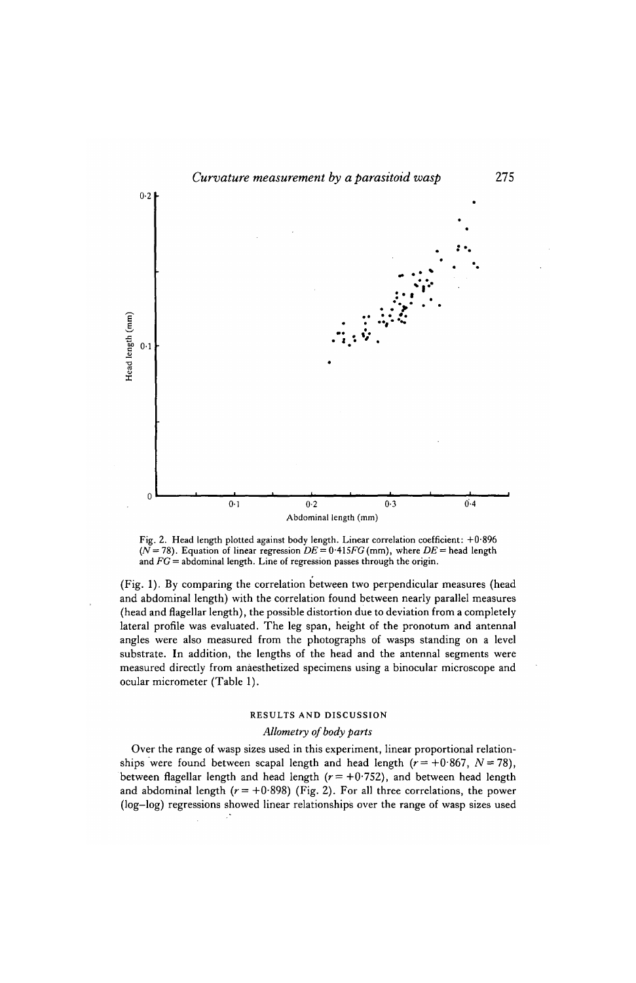

Fig. 2. Head length plotted against body length. Linear correlation coefficient: +0-896  $(N = 78)$ . Equation of linear regression  $DE = 0.415FG$  (mm), where  $DE =$  head length and *FG =* abdominal length. Line of regression passes through the origin.

(Fig. 1). By comparing the correlation between two perpendicular measures (head and abdominal length) with the correlation found between nearly parallel measures (head and flagellar length), the possible distortion due to deviation from a completely lateral profile was evaluated. The leg span, height of the pronotum and antennal angles were also measured from the photographs of wasps standing on a level substrate. In addition, the lengths of the head and the antennal segments were measured directly from anaesthetized specimens using a binocular microscope and ocular micrometer (Table 1).

## RESULTS AND DISCUSSION

## *Allometry of body parts*

Over the range of wasp sizes used in this experiment, linear proportional relationships were found between scapal length and head length  $(r= +0.867, N = 78)$ , between flagellar length and head length  $(r = +0.752)$ , and between head length and abdominal length  $(r = +0.898)$  (Fig. 2). For all three correlations, the power (log-log) regressions showed linear relationships over the range of wasp sizes used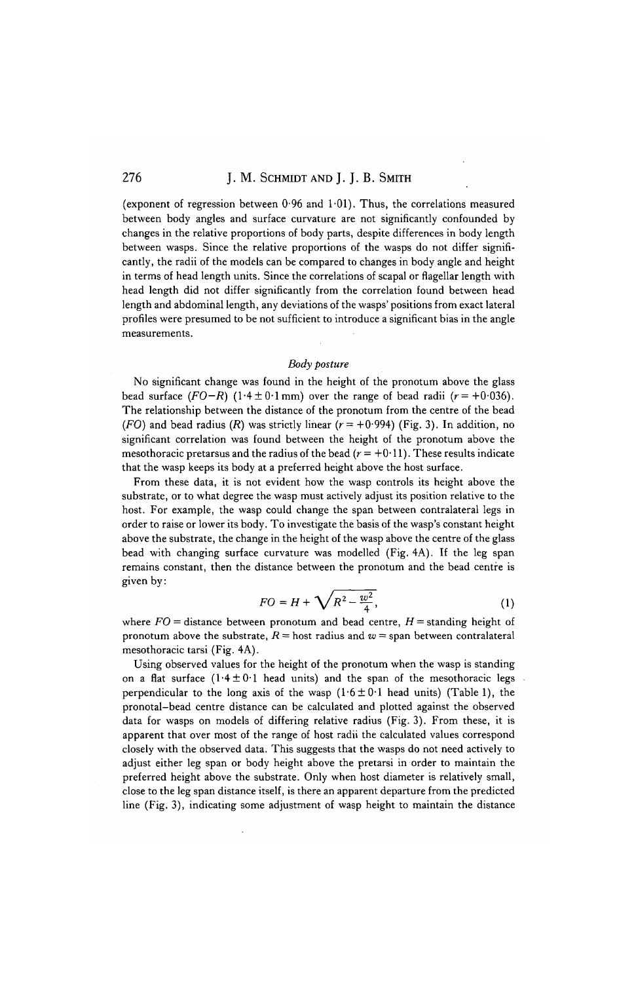(exponent of regression between  $0.96$  and  $1.01$ ). Thus, the correlations measured between body angles and surface curvature are not significantly confounded by changes in the relative proportions of body parts, despite differences in body length between wasps. Since the relative proportions of the wasps do not differ significantly, the radii of the models can be compared to changes in body angle and height in terms of head length units. Since the correlations of scapal or flagellar length with head length did not differ significantly from the correlation found between head length and abdominal length, any deviations of the wasps' positions from exact lateral profiles were presumed to be not sufficient to introduce a significant bias in the angle measurements.

#### *Body posture*

No significant change was found in the height of the pronotum above the glass bead surface  $(FO-R)$   $(1.4 \pm 0.1 \text{ mm})$  over the range of bead radii  $(r=+0.036)$ . The relationship between the distance of the pronotum from the centre of the bead (FO) and bead radius (R) was strictly linear  $(r = +0.994)$  (Fig. 3). In addition, no significant correlation was found between the height of the pronotum above the mesothoracic pretarsus and the radius of the bead ( $r = +0.11$ ). These results indicate that the wasp keeps its body at a preferred height above the host surface.

From these data, it is not evident how the wasp controls its height above the substrate, or to what degree the wasp must actively adjust its position relative to the host. For example, the wasp could change the span between contralateral legs in order to raise or lower its body. To investigate the basis of the wasp's constant height above the substrate, the change in the height of the wasp above the centre of the glass bead with changing surface curvature was modelled (Fig. 4A). If the leg span remains constant, then the distance between the pronotum and the bead centre is given by:

$$
FO = H + \sqrt{R^2 - \frac{w^2}{4}},
$$
 (1)

where *FO =* distance between pronotum and bead centre, *H =* standing height of pronotum above the substrate,  $R =$  host radius and  $w =$  span between contralateral mesothoracic tarsi (Fig. 4A).

Using observed values for the height of the pronotum when the wasp is standing on a flat surface  $(1.4 \pm 0.1$  head units) and the span of the mesothoracic legs perpendicular to the long axis of the wasp  $(1.6 \pm 0.1$  head units) (Table 1), the pronotal-bead centre distance can be calculated and plotted against the observed data for wasps on models of differing relative radius (Fig. 3). From these, it is apparent that over most of the range of host radii the calculated values correspond closely with the observed data. This suggests that the wasps do not need actively to adjust either leg span or body height above the pretarsi in order to maintain the preferred height above the substrate. Only when host diameter is relatively small, close to the leg span distance itself, is there an apparent departure from the predicted line (Fig. 3), indicating some adjustment of wasp height to maintain the distance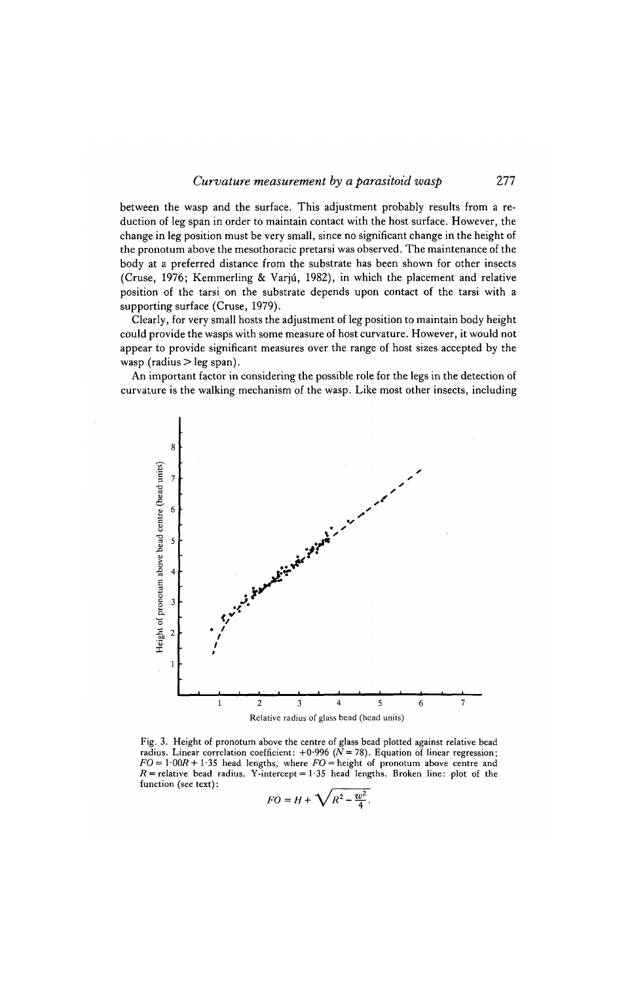between the wasp and the surface. This adjustment probably results from a reduction of leg span in order to maintain contact with the host surface. However, the change in leg position must be very small, since no significant change in the height of the pronotum above the mesothoracic pretarsi was observed. The maintenance of the body at a preferred distance from the substrate has been shown for other insects (Cruse, 1976; Kemmerling & Varju, 1982), in which the placement and relative position of the tarsi on the substrate depends upon contact of the tarsi with a supporting surface (Cruse, 1979).

Clearly, for very small hosts the adjustment of leg position to maintain body height could provide the wasps with some measure of host curvature. However, it would not appear to provide significant measures over the range of host sizes accepted by the wasp (radius  $>$  leg span).

An important factor in considering the possible role for the legs in the detection of curvature is the walking mechanism of the wasp. Like most other insects, including



Fig. 3. Height of pronotum above the centre of glass bead plotted against relative bead radius. Linear correlation coefficient: +0"996 *(N=78).* Equation of linear regression;  $FO = 1.00R + 1.35$  head lengths, where  $FO =$  height of pronotum above centre and  $R$  = relative bead radius. Y-intercept = 1.35 head lengths. Broken line: plot of the function (see text):

$$
FO = H + \sqrt{R^2 - \frac{w^2}{4}}.
$$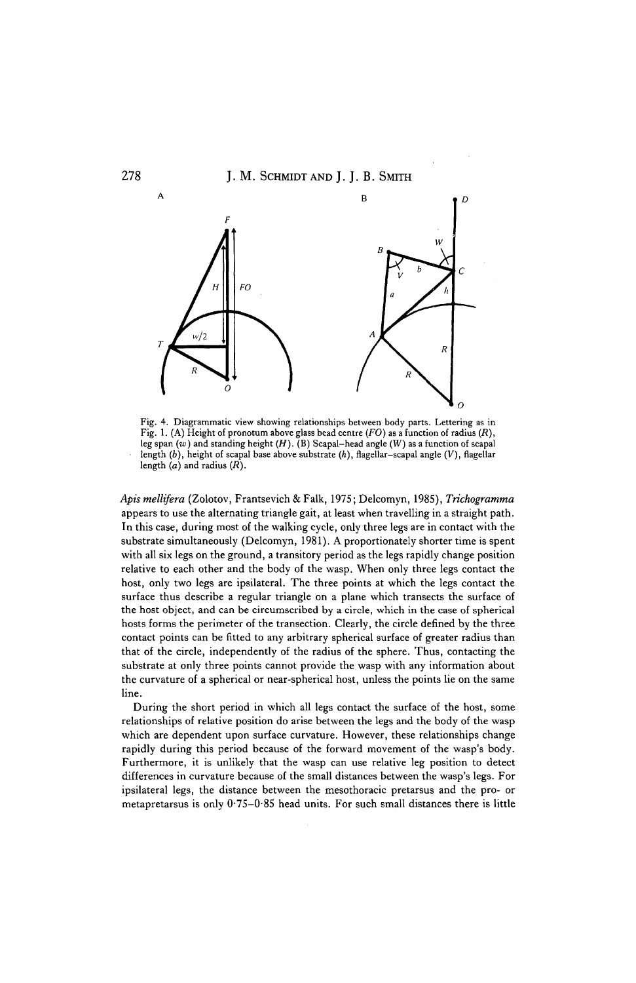## 278 **J. M. SCHMIDT AND J. J. B. SMITH**



Fig. 4. Diagrammatic view showing relationships between body parts. Lettering as in Fig. 1. (A) Height of pronotum above glass bead centre *(FO)* as a function of radius *(R),* leg span (w) and standing height *(H).* (B) Scapal-head angle (W) as a function of scapal length *(b),* height of scapal base above substrate *(h),* flagellar-scapal angle *(V),* flagellar length (a) and radius *(R).*

*Apis mellifera* (Zolotov, Frantsevich & Falk, 1975; Delcomyn, 1985), *Trichogramma* appears to use the alternating triangle gait, at least when travelling in a straight path. In this case, during most of the walking cycle, only three legs are in contact with the substrate simultaneously (Delcomyn, 1981). A proportionately shorter time is spent with all six legs on the ground, a transitory period as the legs rapidly change position relative to each other and the body of the wasp. When only three legs contact the host, only two legs are ipsilateral. The three points at which the legs contact the surface thus describe a regular triangle on a plane which transects the surface of the host object, and can be circumscribed by a circle, which in the case of spherical hosts forms the perimeter of the transection. Clearly, the circle defined by the three contact points can be fitted to any arbitrary spherical surface of greater radius than that of the circle, independently of the radius of the sphere. Thus, contacting the substrate at only three points cannot provide the wasp with any information about the curvature of a spherical or near-spherical host, unless the points lie on the same line.

During the short period in which all legs contact the surface of the host, some relationships of relative position do arise between the legs and the body of the wasp which are dependent upon surface curvature. However, these relationships change rapidly during this period because of the forward movement of the wasp's body. Furthermore, it is unlikely that the wasp can use relative leg position to detect differences in curvature because of the small distances between the wasp's legs. For ipsilateral legs, the distance between the mesothoracic pretarsus and the pro- or metapretarsus is only 0-75-0-85 head units. For such small distances there is little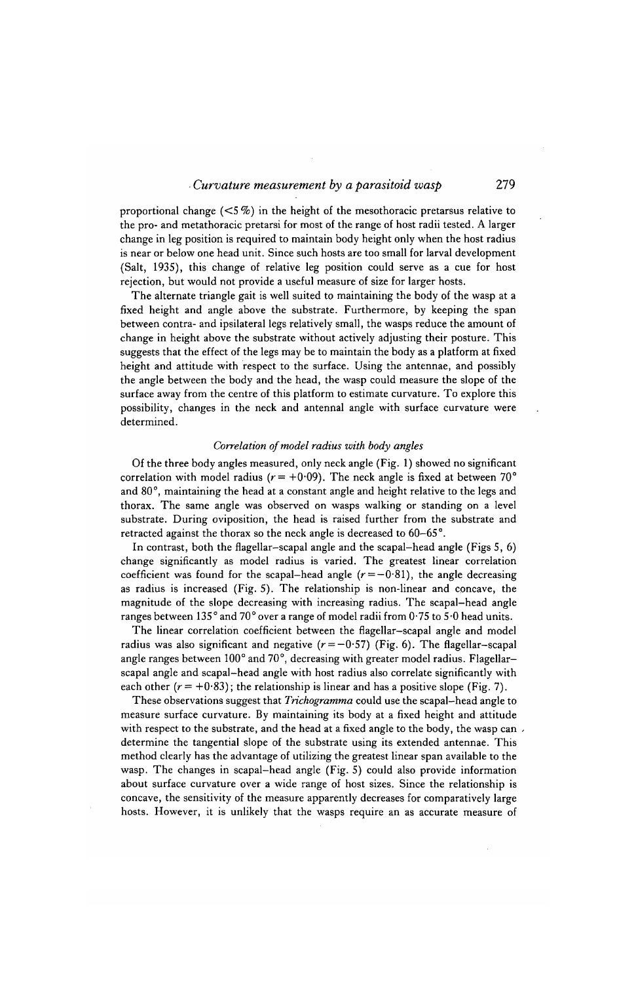proportional change  $\langle 5\% \rangle$  in the height of the mesothoracic pretarsus relative to the pro- and metathoracic pretarsi for most of the range of host radii tested. A larger change in leg position is required to maintain body height only when the host radius is near or below one head unit. Since such hosts are too small for larval development (Salt, 1935), this change of relative leg position could serve as a cue for host rejection, but would not provide a useful measure of size for larger hosts.

The alternate triangle gait is well suited to maintaining the body of the wasp at a fixed height and angle above the substrate. Furthermore, by keeping the span between contra- and ipsilateral legs relatively small, the wasps reduce the amount of change in height above the substrate without actively adjusting their posture. This suggests that the effect of the legs may be to maintain the body as a platform at fixed height and attitude with respect to the surface. Using the antennae, and possibly the angle between the body and the head, the wasp could measure the slope of the surface away from the centre of this platform to estimate curvature. To explore this possibility, changes in the neck and antennal angle with surface curvature were determined.

#### *Correlation of model radius with body angles*

Of the three body angles measured, only neck angle (Fig. 1) showed no significant correlation with model radius ( $r = +0.09$ ). The neck angle is fixed at between 70<sup>°</sup> and 80°, maintaining the head at a constant angle and height relative to the legs and thorax. The same angle was observed on wasps walking or standing on a level substrate. During oviposition, the head is raised further from the substrate and retracted against the thorax so the neck angle is decreased to 60-65°.

In contrast, both the flagellar-scapal angle and the scapal-head angle (Figs 5, 6) change significantly as model radius is varied. The greatest linear correlation coefficient was found for the scapal-head angle  $(r = -0.81)$ , the angle decreasing as radius is increased (Fig. 5). The relationship is non-linear and concave, the magnitude of the slope decreasing with increasing radius. The scapal-head angle ranges between 135° and 70° over a range of model radii from 0-75 to 5'0 head units.

The linear correlation coefficient between the flagellar-scapal angle and model radius was also significant and negative  $(r = -0.57)$  (Fig. 6). The flagellar-scapal angle ranges between 100° and 70°, decreasing with greater model radius. Flagellarscapal angle and scapal-head angle with host radius also correlate significantly with each other  $(r = +0.83)$ ; the relationship is linear and has a positive slope (Fig. 7).

These observations suggest that *Trichogramma* could use the scapal-head angle to measure surface curvature. By maintaining its body at a fixed height and attitude with respect to the substrate, and the head at a fixed angle to the body, the wasp can. determine the tangential slope of the substrate using its extended antennae. This method clearly has the advantage of utilizing the greatest linear span available to the wasp. The changes in scapal-head angle (Fig. 5) could also provide information about surface curvature over a wide range of host sizes. Since the relationship is concave, the sensitivity of the measure apparently decreases for comparatively large hosts. However, it is unlikely that the wasps require an as accurate measure of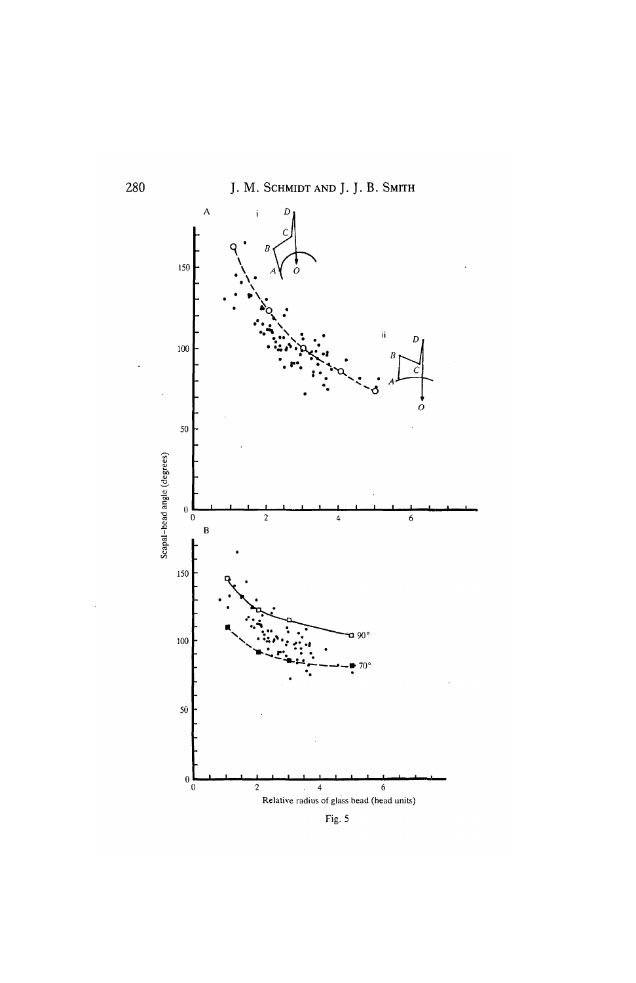

Fig. 5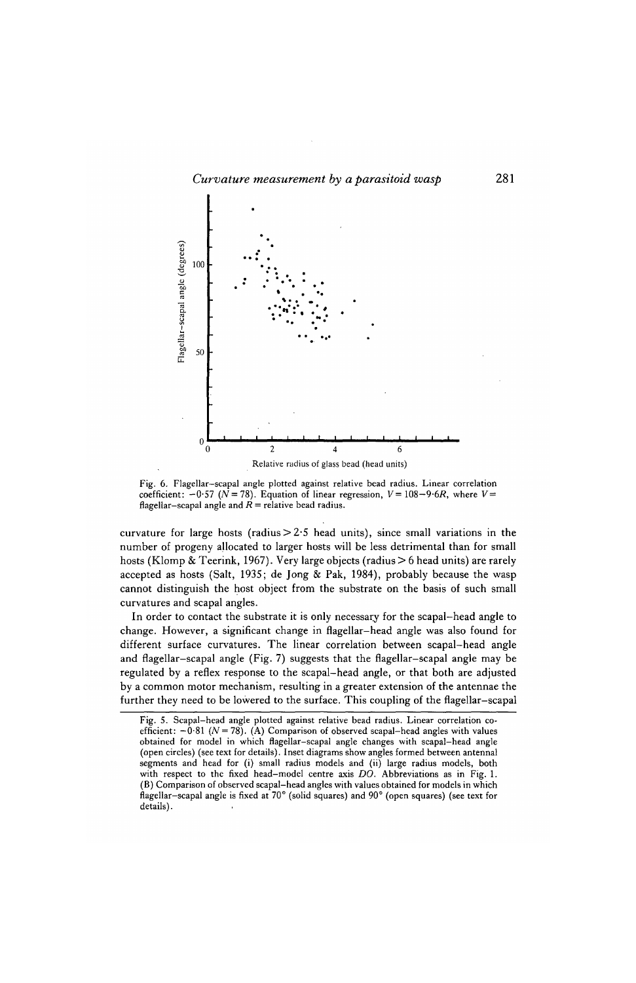

Fig. 6. Flagellar—scapal angle plotted against relative bead radius. Linear correlation coefficient:  $-0.57$  ( $N = 78$ ). Equation of linear regression,  $V = 108-9.6R$ , where  $V =$ flagellar-scapal angle and  $\overrightarrow{R}$  = relative bead radius.

curvature for large hosts (radius $>2.5$  head units), since small variations in the number of progeny ajlocated to larger hosts will be less detrimental than for small hosts (Klomp & Teerink, 1967). Very large objects (radius > 6 head units) are rarely accepted as hosts (Salt, 1935; de Jong & Pak, 1984), probably because the wasp cannot distinguish the host object from the substrate on the basis of such small curvatures and scapal angles.

In order to contact the substrate it is only necessary for the scapal-head angle to change. However, a significant change in fiagellar—head angle was also found for different surface curvatures. The linear correlation between scapal-head angle and flagellar—scapal angle (Fig. 7) suggests that the flagellar—scapal angle may be regulated by a reflex response to the scapal-head angle, or that both are adjusted by a common motor mechanism, resulting in a greater extension of the antennae the further they need to be lowered to the surface. This coupling of the flagellar-scapal

Fig. 5. Scapal-head angle plotted against relative bead radius. Linear correlation coefficient:  $-\dot{0}81$  ( $N = 78$ ). (A) Comparison of observed scapal-head angles with values obtained for model in which flagellar-scapal angle changes with scapal—head angle (open circles) (see text for details). Inset diagrams show angles formed between antennal segments and head for (i) small radius models and (ii) large radius models, both with respect to the fixed head-model centre axis *DO.* Abbreviations as in Fig. 1. (B) Comparison of observed scapal-head angles with values obtained for models in which flagellar-scapal angle is fixed at 70° (solid squares) and 90° (open squares) (see text for details).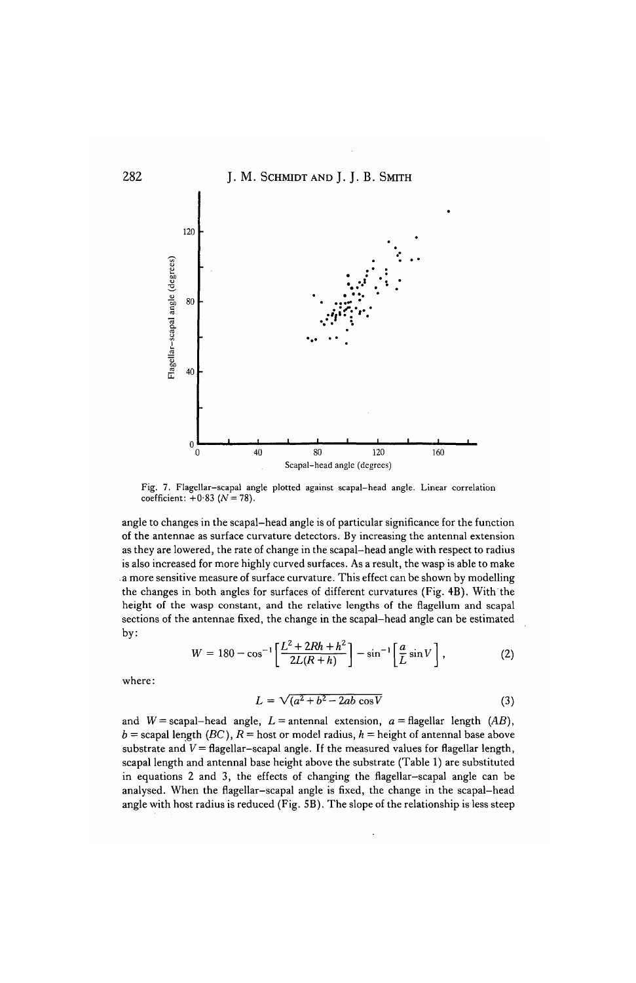

Fig. 7. Flagellar-scapal angle plotted against scapal-head angle. Linear correlation coefficient:  $+0.83$  ( $N = 78$ ).

angle to changes in the scapal-head angle is of particular significance for the function of the antennae as surface curvature detectors. By increasing the antennal extension as they are lowered, the rate of change in the scapal-head angle with respect to radius is also increased for more highly curved surfaces. As a result, the wasp is able to make a more sensitive measure of surface curvature. This effect can be shown by modelling the changes in both angles for surfaces of different curvatures (Fig. 4B). With the height of the wasp constant, and the relative lengths of the flagellum and scapal sections of the antennae fixed, the change in the scapal-head angle can be estimated by:

$$
W = 180 - \cos^{-1}\left[\frac{L^2 + 2Rh + h^2}{2L(R + h)}\right] - \sin^{-1}\left[\frac{a}{L}\sin V\right],
$$
 (2)

where:

$$
L = \sqrt{(a^2 + b^2 - 2ab\cos V} \tag{3}
$$

and  $W =$  scapal-head angle,  $L =$  antennal extension,  $a =$  flagellar length (AB),  $b =$  scapal length *(BC)*,  $R =$  host or model radius,  $h =$  height of antennal base above substrate and  $V =$  flagellar-scapal angle. If the measured values for flagellar length, scapal length and antennal base height above the substrate (Table 1) are substituted in equations 2 and 3, the effects of changing the flagellar—scapal angle can be analysed. When the flagellar-scapal angle is fixed, the change in the scapal-head angle with host radius is reduced (Fig. 5B). The slope of the relationship is less steep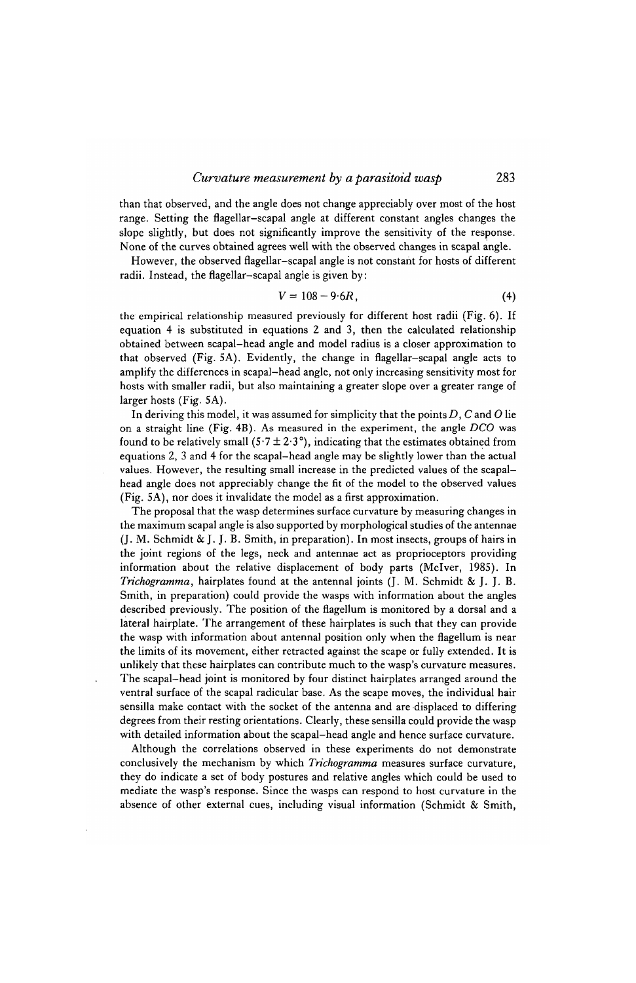#### *Curvature measurement by a parasitoid wasp* 283

than that observed, and the angle does not change appreciably over most of the host range. Setting the flagellar-scapal angle at different constant angles changes the slope slightly, but does not significantly improve the sensitivity of the response. None of the curves obtained agrees well with the observed changes in scapal angle.

However, the observed flagellar-scapal angle is not constant for hosts of different radii. Instead, the flagellar-scapal angle is given by:

$$
V = 108 - 9.6R, \tag{4}
$$

the empirical relationship measured previously for different host radii (Fig. 6). If equation 4 is substituted in equations 2 and 3, then the calculated relationship obtained between scapal-head angle and model radius is a closer approximation to that observed (Fig. 5A). Evidently, the change in flagellar-scapal angle acts to amplify the differences in scapal-head angle, not only increasing sensitivity most for hosts with smaller radii, but also maintaining a greater slope over a greater range of larger hosts (Fig. 5A).

In deriving this model, it was assumed for simplicity that the points/), C and *O* lie on a straight line (Fig. 4B). As measured in the experiment, the angle *DCO* was found to be relatively small  $(5.7 \pm 2.3^{\circ})$ , indicating that the estimates obtained from equations 2, 3 and 4 for the scapal—head angle may be slightly lower than the actual values. However, the resulting small increase in the predicted values of the scapalhead angle does not appreciably change the fit of the model to the observed values (Fig. 5A), nor does it invalidate the model as a first approximation.

The proposal that the wasp determines surface curvature by measuring changes in the maximum scapal angle is also supported by morphological studies of the antennae (J. M. Schmidt & J. J. B. Smith, in preparation). In most insects, groups of hairs in the joint regions of the legs, neck and antennae act as proprioceptors providing information about the relative displacement of body parts (Mclver, 1985). In *Trichogramma,* hairplates found at the antennal joints (J. M. Schmidt & J. J. B. Smith, in preparation) could provide the wasps with information about the angles described previously. The position of the flagellum is monitored by a dorsal and a lateral hairplate. The arrangement of these hairplates is such that they can provide the wasp with information about antennal position only when the flagellum is near the limits of its movement, either retracted against the scape or fully extended. It is unlikely that these hairplates can contribute much to the wasp's curvature measures. The scapal-head joint is monitored by four distinct hairplates arranged around the ventral surface of the scapal radicular base. As the scape moves, the individual hair sensilla make contact with the socket of the antenna and are displaced to differing degrees from their resting orientations. Clearly, these sensilla could provide the wasp with detailed information about the scapal—head angle and hence surface curvature.

Although the correlations observed in these experiments do not demonstrate conclusively the mechanism by which *Trichogramma* measures surface curvature, they do indicate a set of body postures and relative angles which could be used to mediate the wasp's response. Since the wasps can respond to host curvature in the absence of other external cues, including visual information (Schmidt & Smith,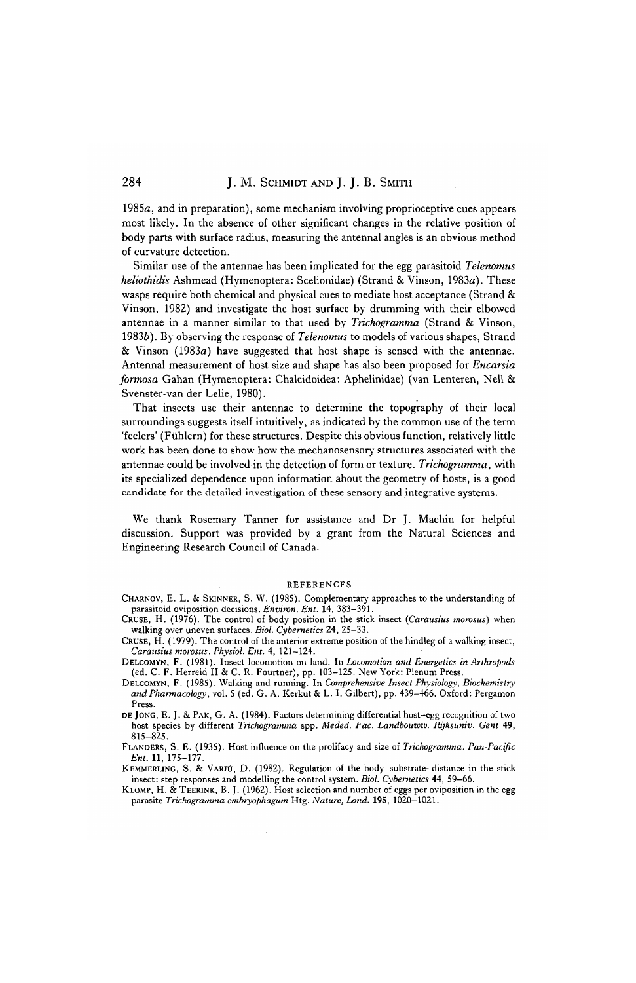1985a, and in preparation), some mechanism involving proprioceptive cues appears most likely. In the absence of other significant changes in the relative position of body parts with surface radius, measuring the antennal angles is an obvious method of curvature detection.

Similar use of the antennae has been implicated for the egg parasitoid *Telenomus heliothidis* Ashmead (Hymenoptera: Scelionidae) (Strand & Vinson, 1983a). These wasps require both chemical and physical cues to mediate host acceptance (Strand & Vinson, 1982) and investigate the host surface by drumming with their elbowed antennae in a manner similar to that used by *Trichogramma* (Strand & Vinson, 19836). By observing the response of *Telenomus* to models of various shapes, Strand & Vinson (1983a) have suggested that host shape is sensed with the antennae. Antennal measurement of host size and shape has also been proposed for *Encarsia formosa* Gahan (Hymenoptera: Chalcidoidea: Aphelinidae) (van Lenteren, Nell & Svenster-van der Lelie, 1980).

That insects use their antennae to determine the topography of their local surroundings suggests itself intuitively, as indicated by the common use of the term 'feelers' (Fiihlern) for these structures. Despite this obvious function, relatively little work has been done to show how the mechanosensory structures associated with the antennae could be involvedin the detection of form or texture. *Trichogramma,* with its specialized dependence upon information about the geometry of hosts, is a good candidate for the detailed investigation of these sensory and integrative systems.

We thank Rosemary Tanner for assistance and Dr J. Machin for helpful discussion. Support was provided by a grant from the Natural Sciences and Engineering Research Council of Canada.

#### REFERENCES

- CHARNOV, E. L. & SKINNER, S. W. (1985). Complementary approaches to the understanding of parasitoid oviposition decisions. *Environ. Ent.* 14, 383-391.
- CRUSE, H. (1976). The control of body position in the stick insect *{Carausius morosus)* when walking over uneven surfaces. *Biol. Cybernetics* 24, 25-33.
- CRUSE, H. (1979). The control of the anterior extreme position of the hindleg of a walking insect, *Carausius momsus. Physiol. Ent.* 4, 121—124.
- DELCOMYN, F. (1981). Insect locomotion on land. In *Locomotion and Energetics in Arthropods* (ed. C. F. Herreid II & C. R. Fourtner), pp. 103-125. New York: Plenum Press.
- DELCOMYN, F. (1985). Walking and running. In *Comprehensive Insect Physiology, Biochemistry and Pharmacology,* vol. 5 (ed. G. A. Kerkut & L. I. Gilbert), pp. 439-466. Oxford: Pergamon Press.
- DE JONG, E. J. & PAK, G. A. (1984). Factors determining differential host-egg recognition of two host species by different *Trichogramma* spp. *Meded. Fac. Landbouww. Rijksuniv. Gent* 49, 815-825.
- FLANDERS, S. E. (1935). Host influence on the prolifacy and size of *Trichogramma. Pan-Pacific Ent.* **11,** 175-177.
- KEMMERLING, S. & VARJU, D. (1982). Regulation of the body-substrate-distance in the stick insect: step responses and modelling the control system. *Biol. Cybernetics* 44, 59-66.
- KLOMP, H. & TEERINK, B. J. (1962). Host selection and number of eggs per oviposition in the egg parasite *Trichogramma embryophagum* Htg. *Nature, Land.* **195,** 1020-1021.